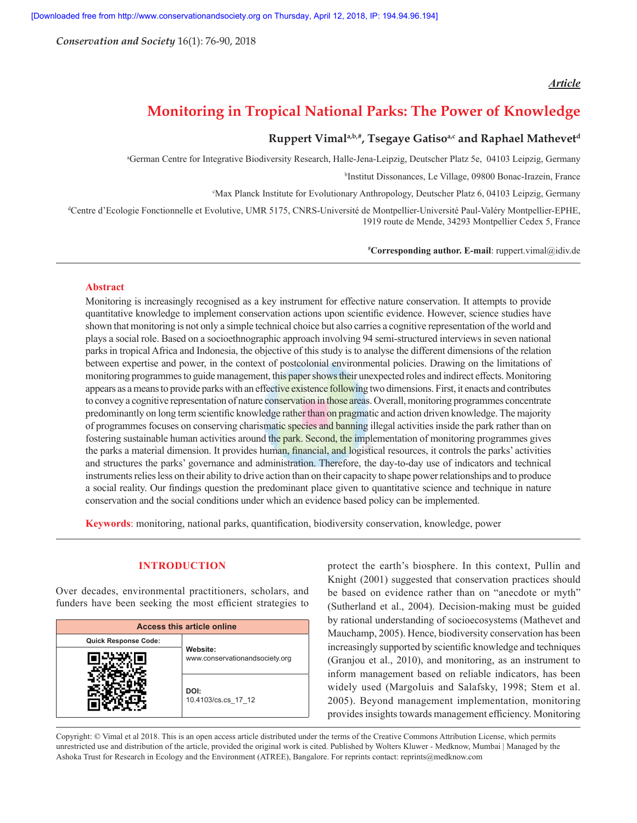*Conservation and Society* 16(1): 76-90, 2018

## *Article*

# **Monitoring in Tropical National Parks: The Power of Knowledge**

## **Ruppert Vimala,b,#, Tsegaye Gatisoa,c and Raphael Mathevetd**

a German Centre for Integrative Biodiversity Research, Halle-Jena-Leipzig, Deutscher Platz 5e, 04103 Leipzig, Germany

b Institut Dissonances, Le Village, 09800 Bonac-Irazein, France

c Max Planck Institute for Evolutionary Anthropology, Deutscher Platz 6, 04103 Leipzig, Germany

d Centre d'Ecologie Fonctionnelle et Evolutive, UMR 5175, CNRS-Université de Montpellier-Université Paul-Valéry Montpellier-EPHE, 1919 route de Mende, 34293 Montpellier Cedex 5, France

**# Corresponding author. E-mail**: ruppert.vimal@idiv.de

#### **Abstract**

Monitoring is increasingly recognised as a key instrument for effective nature conservation. It attempts to provide quantitative knowledge to implement conservation actions upon scientific evidence. However, science studies have shown that monitoring is not only a simple technical choice but also carries a cognitive representation of the world and plays a social role. Based on a socioethnographic approach involving 94 semi-structured interviews in seven national parks in tropical Africa and Indonesia, the objective of this study is to analyse the different dimensions of the relation between expertise and power, in the context of postcolonial environmental policies. Drawing on the limitations of monitoring programmes to guide management, this paper shows their unexpected roles and indirect effects. Monitoring appears as a means to provide parks with an effective existence following two dimensions. First, it enacts and contributes to convey a cognitive representation of nature conservation in those areas. Overall, monitoring programmes concentrate predominantly on long term scientific knowledge rather than on **pragmatic** and action driven knowledge. The majority of programmes focuses on conserving charismatic species and banning illegal activities inside the park rather than on fostering sustainable human activities around the park. Second, the implementation of monitoring programmes gives the parks a material dimension. It provides human, financial, and logistical resources, it controls the parks' activities and structures the parks' governance and administration. Therefore, the day-to-day use of indicators and technical instruments relies less on their ability to drive action than on their capacity to shape power relationships and to produce a social reality. Our findings question the predominant place given to quantitative science and technique in nature conservation and the social conditions under which an evidence based policy can be implemented.

**Keywords**: monitoring, national parks, quantification, biodiversity conservation, knowledge, power

## **INTRODUCTION**

Over decades, environmental practitioners, scholars, and funders have been seeking the most efficient strategies to

| Access this article online  |                                            |  |  |  |  |  |  |  |
|-----------------------------|--------------------------------------------|--|--|--|--|--|--|--|
| <b>Quick Response Code:</b> |                                            |  |  |  |  |  |  |  |
|                             | Website:<br>www.conservationandsociety.org |  |  |  |  |  |  |  |
|                             | DOI:<br>10.4103/cs.cs 17 12                |  |  |  |  |  |  |  |

protect the earth's biosphere. In this context, Pullin and Knight (2001) suggested that conservation practices should be based on evidence rather than on "anecdote or myth" (Sutherland et al., 2004). Decision-making must be guided by rational understanding of socioecosystems (Mathevet and Mauchamp, 2005). Hence, biodiversity conservation has been increasingly supported by scientific knowledge and techniques (Granjou et al., 2010), and monitoring, as an instrument to inform management based on reliable indicators, has been widely used (Margoluis and Salafsky, 1998; Stem et al. 2005). Beyond management implementation, monitoring provides insights towards management efficiency. Monitoring

Copyright: © Vimal et al 2018. This is an open access article distributed under the terms of the Creative Commons Attribution License, which permits unrestricted use and distribution of the article, provided the original work is cited. Published by Wolters Kluwer - Medknow, Mumbai | Managed by the Ashoka Trust for Research in Ecology and the Environment (ATREE), Bangalore. For reprints contact: reprints@medknow.com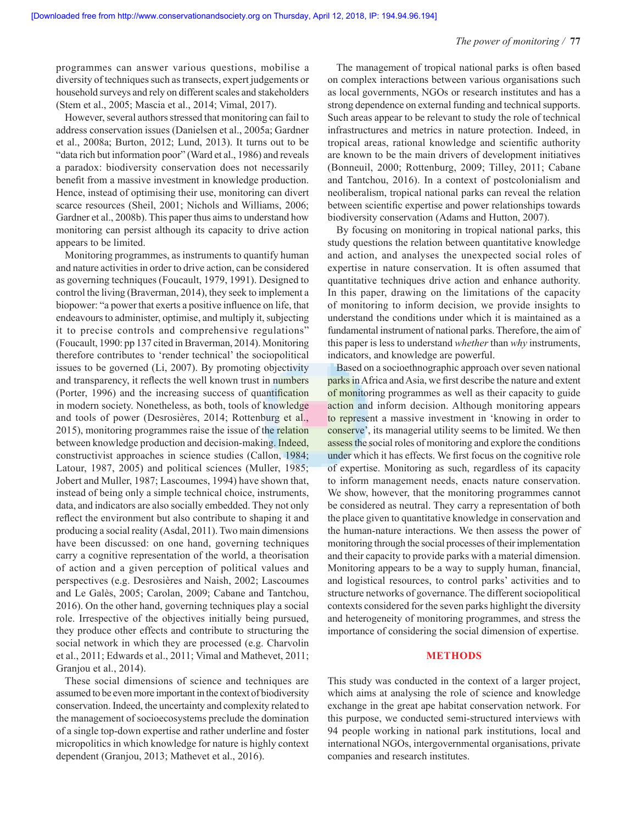programmes can answer various questions, mobilise a diversity of techniques such as transects, expert judgements or household surveys and rely on different scales and stakeholders (Stem et al., 2005; Mascia et al., 2014; Vimal, 2017).

However, several authors stressed that monitoring can fail to address conservation issues (Danielsen et al., 2005a; Gardner et al., 2008a; Burton, 2012; Lund, 2013). It turns out to be "data rich but information poor" (Ward et al., 1986) and reveals a paradox: biodiversity conservation does not necessarily benefit from a massive investment in knowledge production. Hence, instead of optimising their use, monitoring can divert scarce resources (Sheil, 2001; Nichols and Williams, 2006; Gardner et al., 2008b). This paper thus aims to understand how monitoring can persist although its capacity to drive action appears to be limited.

Monitoring programmes, as instruments to quantify human and nature activities in order to drive action, can be considered as governing techniques (Foucault, 1979, 1991). Designed to control the living (Braverman, 2014), they seek to implement a biopower: "a power that exerts a positive influence on life, that endeavours to administer, optimise, and multiply it, subjecting it to precise controls and comprehensive regulations" (Foucault, 1990: pp 137 cited in Braverman, 2014). Monitoring therefore contributes to 'render technical' the sociopolitical issues to be governed (Li, 2007). By promoting objectivity and transparency, it reflects the well known trust in numbers (Porter, 1996) and the increasing success of quantification in modern society. Nonetheless, as both, tools of knowledge and tools of power (Desrosières, 2014; Rottenburg et al., 2015), monitoring programmes raise the issue of the relation between knowledge production and decision-making. Indeed, constructivist approaches in science studies (Callon, 1984; Latour, 1987, 2005) and political sciences (Muller, 1985; Jobert and Muller, 1987; Lascoumes, 1994) have shown that, instead of being only a simple technical choice, instruments, data, and indicators are also socially embedded. They not only reflect the environment but also contribute to shaping it and producing a social reality (Asdal, 2011). Two main dimensions have been discussed: on one hand, governing techniques carry a cognitive representation of the world, a theorisation of action and a given perception of political values and perspectives (e.g. Desrosières and Naish, 2002; Lascoumes and Le Galès, 2005; Carolan, 2009; Cabane and Tantchou, 2016). On the other hand, governing techniques play a social role. Irrespective of the objectives initially being pursued, they produce other effects and contribute to structuring the social network in which they are processed (e.g. Charvolin et al., 2011; Edwards et al., 2011; Vimal and Mathevet, 2011; Granjou et al., 2014).

These social dimensions of science and techniques are assumed to be even more important in the context of biodiversity conservation. Indeed, the uncertainty and complexity related to the management of socioecosystems preclude the domination of a single top-down expertise and rather underline and foster micropolitics in which knowledge for nature is highly context dependent (Granjou, 2013; Mathevet et al., 2016).

The management of tropical national parks is often based on complex interactions between various organisations such as local governments, NGOs or research institutes and has a strong dependence on external funding and technical supports. Such areas appear to be relevant to study the role of technical infrastructures and metrics in nature protection. Indeed, in tropical areas, rational knowledge and scientific authority are known to be the main drivers of development initiatives (Bonneuil, 2000; Rottenburg, 2009; Tilley, 2011; Cabane and Tantchou, 2016). In a context of postcolonialism and neoliberalism, tropical national parks can reveal the relation between scientific expertise and power relationships towards biodiversity conservation (Adams and Hutton, 2007).

By focusing on monitoring in tropical national parks, this study questions the relation between quantitative knowledge and action, and analyses the unexpected social roles of expertise in nature conservation. It is often assumed that quantitative techniques drive action and enhance authority. In this paper, drawing on the limitations of the capacity of monitoring to inform decision, we provide insights to understand the conditions under which it is maintained as a fundamental instrument of national parks. Therefore, the aim of this paper is less to understand *whether* than *why* instruments, indicators, and knowledge are powerful.

Based on a socioethnographic approach over seven national parks in Africa and Asia, we first describe the nature and extent of monitoring programmes as well as their capacity to guide action and inform decision. Although monitoring appears to represent a massive investment in 'knowing in order to conserve', its managerial utility seems to be limited. We then assess the social roles of monitoring and explore the conditions under which it has effects. We first focus on the cognitive role of expertise. Monitoring as such, regardless of its capacity to inform management needs, enacts nature conservation. We show, however, that the monitoring programmes cannot be considered as neutral. They carry a representation of both the place given to quantitative knowledge in conservation and the human-nature interactions. We then assess the power of monitoring through the social processes of their implementation and their capacity to provide parks with a material dimension. Monitoring appears to be a way to supply human, financial, and logistical resources, to control parks' activities and to structure networks of governance. The different sociopolitical contexts considered for the seven parks highlight the diversity and heterogeneity of monitoring programmes, and stress the importance of considering the social dimension of expertise.

#### **METHODS**

This study was conducted in the context of a larger project, which aims at analysing the role of science and knowledge exchange in the great ape habitat conservation network. For this purpose, we conducted semi-structured interviews with 94 people working in national park institutions, local and international NGOs, intergovernmental organisations, private companies and research institutes.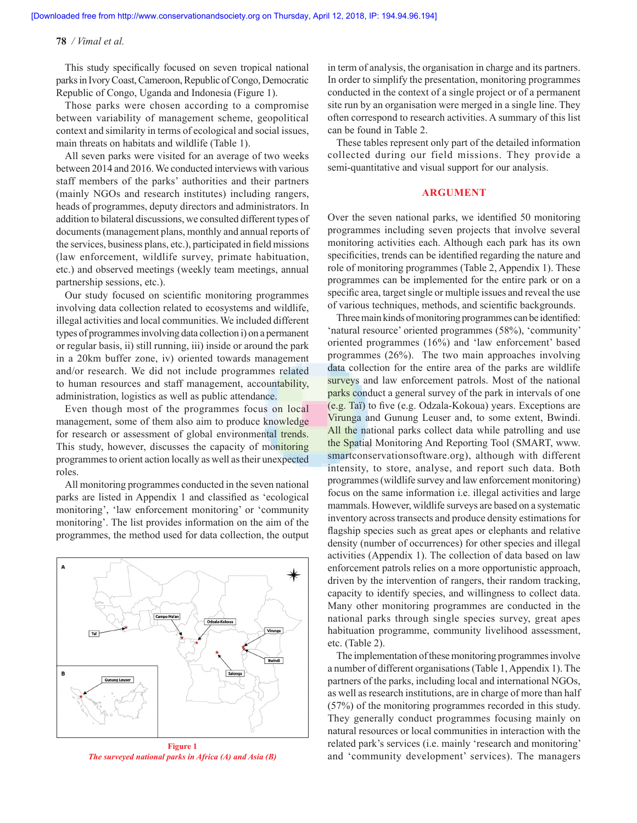This study specifically focused on seven tropical national parks in Ivory Coast, Cameroon, Republic of Congo, Democratic Republic of Congo, Uganda and Indonesia (Figure 1).

Those parks were chosen according to a compromise between variability of management scheme, geopolitical context and similarity in terms of ecological and social issues, main threats on habitats and wildlife (Table 1).

All seven parks were visited for an average of two weeks between 2014 and 2016. We conducted interviews with various staff members of the parks' authorities and their partners (mainly NGOs and research institutes) including rangers, heads of programmes, deputy directors and administrators. In addition to bilateral discussions, we consulted different types of documents (management plans, monthly and annual reports of the services, business plans, etc.), participated in field missions (law enforcement, wildlife survey, primate habituation, etc.) and observed meetings (weekly team meetings, annual partnership sessions, etc.).

Our study focused on scientific monitoring programmes involving data collection related to ecosystems and wildlife, illegal activities and local communities. We included different types of programmes involving data collection i) on a permanent or regular basis, ii) still running, iii) inside or around the park in a 20km buffer zone, iv) oriented towards management and/or research. We did not include programmes related to human resources and staff management, accountability, administration, logistics as well as public attendance.

Even though most of the programmes focus on local management, some of them also aim to produce knowledge for research or assessment of global environmental trends. This study, however, discusses the capacity of monitoring programmes to orient action locally as well as their unexpected roles.

All monitoring programmes conducted in the seven national parks are listed in Appendix 1 and classified as 'ecological monitoring', 'law enforcement monitoring' or 'community monitoring'. The list provides information on the aim of the programmes, the method used for data collection, the output



**Figure 1** *The surveyed national parks in Africa (A) and Asia (B)*

in term of analysis, the organisation in charge and its partners. In order to simplify the presentation, monitoring programmes conducted in the context of a single project or of a permanent site run by an organisation were merged in a single line. They often correspond to research activities. A summary of this list can be found in Table 2.

These tables represent only part of the detailed information collected during our field missions. They provide a semi-quantitative and visual support for our analysis.

#### **ARGUMENT**

Over the seven national parks, we identified 50 monitoring programmes including seven projects that involve several monitoring activities each. Although each park has its own specificities, trends can be identified regarding the nature and role of monitoring programmes (Table 2, Appendix 1). These programmes can be implemented for the entire park or on a specific area, target single or multiple issues and reveal the use of various techniques, methods, and scientific backgrounds.

Three main kinds of monitoring programmes can be identified: 'natural resource' oriented programmes (58%), 'community' oriented programmes (16%) and 'law enforcement' based programmes (26%). The two main approaches involving data collection for the entire area of the parks are wildlife surveys and law enforcement patrols. Most of the national parks conduct a general survey of the park in intervals of one (e.g. Taï) to five (e.g. Odzala-Kokoua) years. Exceptions are Virunga and Gunung Leuser and, to some extent, Bwindi. All the national parks collect data while patrolling and use the Spatial Monitoring And Reporting Tool (SMART, www. smartconservationsoftware.org), although with different intensity, to store, analyse, and report such data. Both programmes (wildlife survey and law enforcement monitoring) focus on the same information i.e. illegal activities and large mammals. However, wildlife surveys are based on a systematic inventory across transects and produce density estimations for flagship species such as great apes or elephants and relative density (number of occurrences) for other species and illegal activities (Appendix 1). The collection of data based on law enforcement patrols relies on a more opportunistic approach, driven by the intervention of rangers, their random tracking, capacity to identify species, and willingness to collect data. Many other monitoring programmes are conducted in the national parks through single species survey, great apes habituation programme, community livelihood assessment, etc. (Table 2).

The implementation of these monitoring programmes involve a number of different organisations (Table 1, Appendix 1). The partners of the parks, including local and international NGOs, as well as research institutions, are in charge of more than half (57%) of the monitoring programmes recorded in this study. They generally conduct programmes focusing mainly on natural resources or local communities in interaction with the related park's services (i.e. mainly 'research and monitoring' and 'community development' services). The managers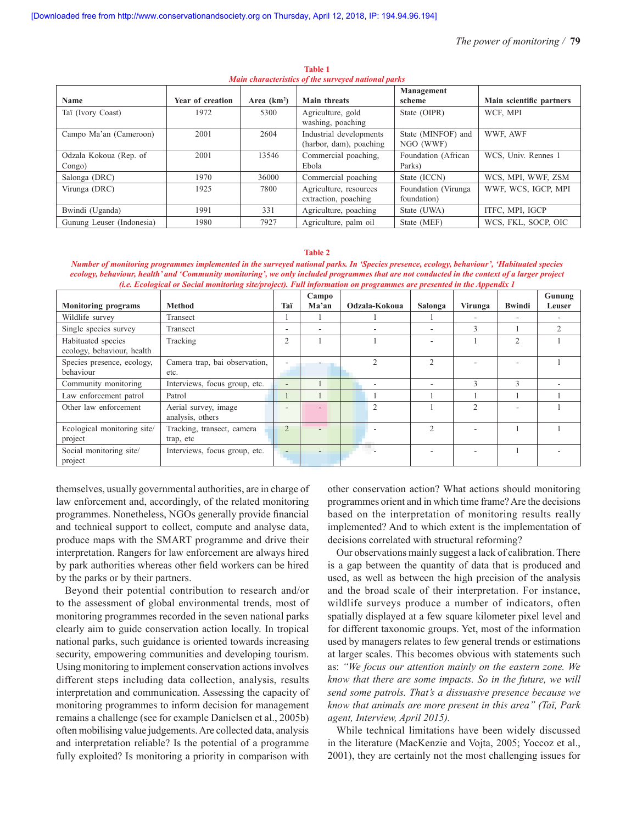|                           |                  |              |                                        | Management          |                          |
|---------------------------|------------------|--------------|----------------------------------------|---------------------|--------------------------|
| <b>Name</b>               | Year of creation | Area $(km2)$ | <b>Main threats</b>                    | scheme              | Main scientific partners |
| Taï (Ivory Coast)         | 1972             | 5300         | Agriculture, gold<br>washing, poaching | State (OIPR)        | WCF, MPI                 |
| Campo Ma'an (Cameroon)    | 2001             | 2604         | Industrial developments                | State (MINFOF) and  | WWF, AWF                 |
|                           |                  |              | (harbor, dam), poaching                | NGO (WWF)           |                          |
| Odzala Kokoua (Rep. of    | 2001             | 13546        | Commercial poaching,                   | Foundation (African | WCS, Univ. Rennes 1      |
| Congo)                    |                  |              | Ebola                                  | Parks)              |                          |
| Salonga (DRC)             | 1970             | 36000        | Commercial poaching                    | State (ICCN)        | WCS, MPI, WWF, ZSM       |
| Virunga (DRC)             | 1925             | 7800         | Agriculture, resources                 | Foundation (Virunga | WWF, WCS, IGCP, MPI      |
|                           |                  |              | extraction, poaching                   | foundation)         |                          |
| Bwindi (Uganda)           | 1991             | 331          | Agriculture, poaching                  | State (UWA)         | ITFC, MPI, IGCP          |
| Gunung Leuser (Indonesia) | 1980             | 7927         | Agriculture, palm oil                  | State (MEF)         | WCS, FKL, SOCP, OIC      |

**Table 1** *Main characteristics of the surveyed national parks*

#### **Table 2**

*Number of monitoring programmes implemented in the surveyed national parks. In 'Species presence, ecology, behaviour', 'Habituated species ecology, behaviour, health' and 'Community monitoring', we only included programmes that are not conducted in the context of a larger project (i.e. Ecological or Social monitoring site/project). Full information on programmes are presented in the Appendix 1*

|                             |                               |                | Campo |                |               |                |                | Gunung |
|-----------------------------|-------------------------------|----------------|-------|----------------|---------------|----------------|----------------|--------|
| <b>Monitoring programs</b>  | <b>Method</b>                 | Taï            | Ma'an | Odzala-Kokoua  | Salonga       | Virunga        | <b>Bwindi</b>  | Leuser |
| Wildlife survey             | Transect                      |                |       |                |               |                |                |        |
| Single species survey       | Transect                      | -              |       |                |               | 3              |                |        |
| Habituated species          | Tracking                      | $\overline{c}$ |       |                |               |                | $\mathfrak{D}$ |        |
| ecology, behaviour, health  |                               |                |       |                |               |                |                |        |
| Species presence, ecology,  | Camera trap, bai observation, |                |       | ◠              | $\mathcal{D}$ |                |                |        |
| behaviour                   | etc.                          |                |       |                |               |                |                |        |
| Community monitoring        | Interviews, focus group, etc. | ٠              |       |                |               | 3              | $\mathcal{E}$  |        |
| Law enforcement patrol      | Patrol                        |                |       |                |               |                |                |        |
| Other law enforcement       | Aerial survey, image          |                |       | $\overline{c}$ |               | $\mathfrak{D}$ |                |        |
|                             | analysis, others              |                |       |                |               |                |                |        |
| Ecological monitoring site/ | Tracking, transect, camera    |                |       |                | $\mathcal{D}$ |                |                |        |
| project                     | trap, etc                     |                |       |                |               |                |                |        |
| Social monitoring site/     | Interviews, focus group, etc. |                |       |                |               |                |                |        |
| project                     |                               |                |       |                |               |                |                |        |

themselves, usually governmental authorities, are in charge of law enforcement and, accordingly, of the related monitoring programmes. Nonetheless, NGOs generally provide financial and technical support to collect, compute and analyse data, produce maps with the SMART programme and drive their interpretation. Rangers for law enforcement are always hired by park authorities whereas other field workers can be hired by the parks or by their partners.

Beyond their potential contribution to research and/or to the assessment of global environmental trends, most of monitoring programmes recorded in the seven national parks clearly aim to guide conservation action locally. In tropical national parks, such guidance is oriented towards increasing security, empowering communities and developing tourism. Using monitoring to implement conservation actions involves different steps including data collection, analysis, results interpretation and communication. Assessing the capacity of monitoring programmes to inform decision for management remains a challenge (see for example Danielsen et al., 2005b) often mobilising value judgements. Are collected data, analysis and interpretation reliable? Is the potential of a programme fully exploited? Is monitoring a priority in comparison with other conservation action? What actions should monitoring programmes orient and in which time frame? Are the decisions based on the interpretation of monitoring results really implemented? And to which extent is the implementation of decisions correlated with structural reforming?

Our observations mainly suggest a lack of calibration. There is a gap between the quantity of data that is produced and used, as well as between the high precision of the analysis and the broad scale of their interpretation. For instance, wildlife surveys produce a number of indicators, often spatially displayed at a few square kilometer pixel level and for different taxonomic groups. Yet, most of the information used by managers relates to few general trends or estimations at larger scales. This becomes obvious with statements such as: *"We focus our attention mainly on the eastern zone. We know that there are some impacts. So in the future, we will send some patrols. That's a dissuasive presence because we know that animals are more present in this area" (Taï, Park agent, Interview, April 2015).*

While technical limitations have been widely discussed in the literature (MacKenzie and Vojta, 2005; Yoccoz et al., 2001), they are certainly not the most challenging issues for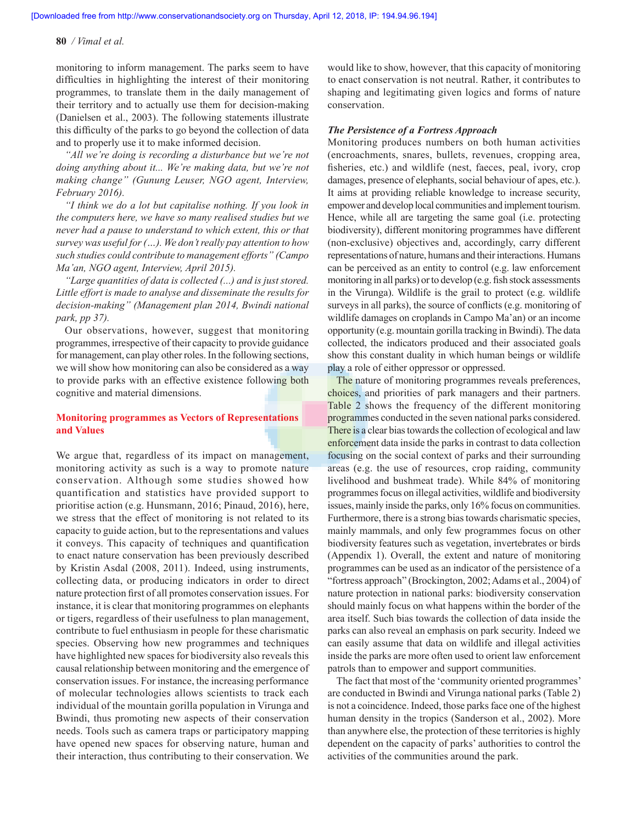monitoring to inform management. The parks seem to have difficulties in highlighting the interest of their monitoring programmes, to translate them in the daily management of their territory and to actually use them for decision-making (Danielsen et al., 2003). The following statements illustrate this difficulty of the parks to go beyond the collection of data and to properly use it to make informed decision.

*"All we're doing is recording a disturbance but we're not doing anything about it... We're making data, but we're not making change" (Gunung Leuser, NGO agent, Interview, February 2016).*

*"I think we do a lot but capitalise nothing. If you look in the computers here, we have so many realised studies but we never had a pause to understand to which extent, this or that survey was useful for (…). We don't really pay attention to how such studies could contribute to management efforts" (Campo Ma'an, NGO agent, Interview, April 2015).*

*"Large quantities of data is collected (...) and is just stored. Little effort is made to analyse and disseminate the results for decision-making" (Management plan 2014, Bwindi national park, pp 37).*

Our observations, however, suggest that monitoring programmes, irrespective of their capacity to provide guidance for management, can play other roles. In the following sections, we will show how monitoring can also be considered as a way to provide parks with an effective existence following both cognitive and material dimensions.

### **Monitoring programmes as Vectors of Representations and Values**

We argue that, regardless of its impact on management, monitoring activity as such is a way to promote nature conservation. Although some studies showed how quantification and statistics have provided support to prioritise action (e.g. Hunsmann, 2016; Pinaud, 2016), here, we stress that the effect of monitoring is not related to its capacity to guide action, but to the representations and values it conveys. This capacity of techniques and quantification to enact nature conservation has been previously described by Kristin Asdal (2008, 2011). Indeed, using instruments, collecting data, or producing indicators in order to direct nature protection first of all promotes conservation issues. For instance, it is clear that monitoring programmes on elephants or tigers, regardless of their usefulness to plan management, contribute to fuel enthusiasm in people for these charismatic species. Observing how new programmes and techniques have highlighted new spaces for biodiversity also reveals this causal relationship between monitoring and the emergence of conservation issues. For instance, the increasing performance of molecular technologies allows scientists to track each individual of the mountain gorilla population in Virunga and Bwindi, thus promoting new aspects of their conservation needs. Tools such as camera traps or participatory mapping have opened new spaces for observing nature, human and their interaction, thus contributing to their conservation. We would like to show, however, that this capacity of monitoring to enact conservation is not neutral. Rather, it contributes to shaping and legitimating given logics and forms of nature conservation.

#### *The Persistence of a Fortress Approach*

Monitoring produces numbers on both human activities (encroachments, snares, bullets, revenues, cropping area, fisheries, etc.) and wildlife (nest, faeces, peal, ivory, crop damages, presence of elephants, social behaviour of apes, etc.). It aims at providing reliable knowledge to increase security, empower and develop local communities and implement tourism. Hence, while all are targeting the same goal (i.e. protecting biodiversity), different monitoring programmes have different (non-exclusive) objectives and, accordingly, carry different representations of nature, humans and their interactions. Humans can be perceived as an entity to control (e.g. law enforcement monitoring in all parks) or to develop (e.g. fish stock assessments in the Virunga). Wildlife is the grail to protect (e.g. wildlife surveys in all parks), the source of conflicts (e.g. monitoring of wildlife damages on croplands in Campo Ma'an) or an income opportunity (e.g. mountain gorilla tracking in Bwindi). The data collected, the indicators produced and their associated goals show this constant duality in which human beings or wildlife play a role of either oppressor or oppressed.

The nature of monitoring programmes reveals preferences, choices, and priorities of park managers and their partners. Table 2 shows the frequency of the different monitoring programmes conducted in the seven national parks considered. There is a clear bias towards the collection of ecological and law enforcement data inside the parks in contrast to data collection focusing on the social context of parks and their surrounding areas (e.g. the use of resources, crop raiding, community livelihood and bushmeat trade). While 84% of monitoring programmes focus on illegal activities, wildlife and biodiversity issues, mainly inside the parks, only 16% focus on communities. Furthermore, there is a strong bias towards charismatic species, mainly mammals, and only few programmes focus on other biodiversity features such as vegetation, invertebrates or birds (Appendix 1). Overall, the extent and nature of monitoring programmes can be used as an indicator of the persistence of a "fortress approach" (Brockington, 2002; Adams et al., 2004) of nature protection in national parks: biodiversity conservation should mainly focus on what happens within the border of the area itself. Such bias towards the collection of data inside the parks can also reveal an emphasis on park security. Indeed we can easily assume that data on wildlife and illegal activities inside the parks are more often used to orient law enforcement patrols than to empower and support communities.

The fact that most of the 'community oriented programmes' are conducted in Bwindi and Virunga national parks (Table 2) is not a coincidence. Indeed, those parks face one of the highest human density in the tropics (Sanderson et al., 2002). More than anywhere else, the protection of these territories is highly dependent on the capacity of parks' authorities to control the activities of the communities around the park.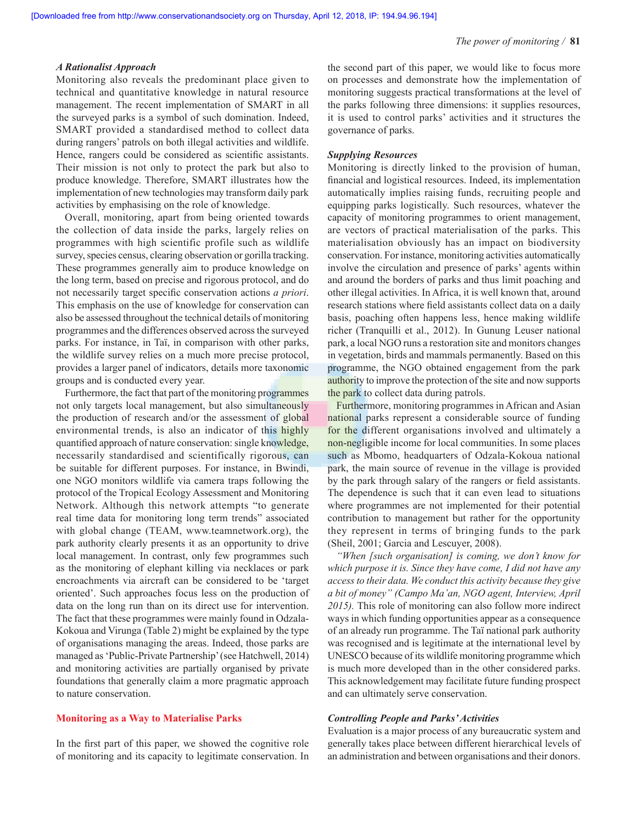#### *A Rationalist Approach*

Monitoring also reveals the predominant place given to technical and quantitative knowledge in natural resource management. The recent implementation of SMART in all the surveyed parks is a symbol of such domination. Indeed, SMART provided a standardised method to collect data during rangers' patrols on both illegal activities and wildlife. Hence, rangers could be considered as scientific assistants. Their mission is not only to protect the park but also to produce knowledge. Therefore, SMART illustrates how the implementation of new technologies may transform daily park activities by emphasising on the role of knowledge.

Overall, monitoring, apart from being oriented towards the collection of data inside the parks, largely relies on programmes with high scientific profile such as wildlife survey, species census, clearing observation or gorilla tracking. These programmes generally aim to produce knowledge on the long term, based on precise and rigorous protocol, and do not necessarily target specific conservation actions *a priori*. This emphasis on the use of knowledge for conservation can also be assessed throughout the technical details of monitoring programmes and the differences observed across the surveyed parks. For instance, in Taï, in comparison with other parks, the wildlife survey relies on a much more precise protocol, provides a larger panel of indicators, details more taxonomic groups and is conducted every year.

Furthermore, the fact that part of the monitoring programmes not only targets local management, but also simultaneously the production of research and/or the assessment of global environmental trends, is also an indicator of this highly quantified approach of nature conservation: single knowledge, necessarily standardised and scientifically rigorous, can be suitable for different purposes. For instance, in Bwindi, one NGO monitors wildlife via camera traps following the protocol of the Tropical Ecology Assessment and Monitoring Network. Although this network attempts "to generate real time data for monitoring long term trends" associated with global change (TEAM, www.teamnetwork.org), the park authority clearly presents it as an opportunity to drive local management. In contrast, only few programmes such as the monitoring of elephant killing via necklaces or park encroachments via aircraft can be considered to be 'target oriented'. Such approaches focus less on the production of data on the long run than on its direct use for intervention. The fact that these programmes were mainly found in Odzala-Kokoua and Virunga (Table 2) might be explained by the type of organisations managing the areas. Indeed, those parks are managed as 'Public-Private Partnership' (see Hatchwell, 2014) and monitoring activities are partially organised by private foundations that generally claim a more pragmatic approach to nature conservation.

#### **Monitoring as a Way to Materialise Parks**

In the first part of this paper, we showed the cognitive role of monitoring and its capacity to legitimate conservation. In the second part of this paper, we would like to focus more on processes and demonstrate how the implementation of monitoring suggests practical transformations at the level of the parks following three dimensions: it supplies resources, it is used to control parks' activities and it structures the governance of parks.

#### *Supplying Resources*

Monitoring is directly linked to the provision of human, financial and logistical resources. Indeed, its implementation automatically implies raising funds, recruiting people and equipping parks logistically. Such resources, whatever the capacity of monitoring programmes to orient management, are vectors of practical materialisation of the parks. This materialisation obviously has an impact on biodiversity conservation. For instance, monitoring activities automatically involve the circulation and presence of parks' agents within and around the borders of parks and thus limit poaching and other illegal activities. In Africa, it is well known that, around research stations where field assistants collect data on a daily basis, poaching often happens less, hence making wildlife richer (Tranquilli et al., 2012). In Gunung Leuser national park, a local NGO runs a restoration site and monitors changes in vegetation, birds and mammals permanently. Based on this programme, the NGO obtained engagement from the park authority to improve the protection of the site and now supports the park to collect data during patrols.

Furthermore, monitoring programmes in African and Asian national parks represent a considerable source of funding for the different organisations involved and ultimately a non-negligible income for local communities. In some places such as Mbomo, headquarters of Odzala-Kokoua national park, the main source of revenue in the village is provided by the park through salary of the rangers or field assistants. The dependence is such that it can even lead to situations where programmes are not implemented for their potential contribution to management but rather for the opportunity they represent in terms of bringing funds to the park (Sheil, 2001; Garcia and Lescuyer, 2008).

*"When [such organisation] is coming, we don't know for which purpose it is. Since they have come, I did not have any access to their data. We conduct this activity because they give a bit of money" (Campo Ma'an, NGO agent, Interview, April 2015).* This role of monitoring can also follow more indirect ways in which funding opportunities appear as a consequence of an already run programme. The Taï national park authority was recognised and is legitimate at the international level by UNESCO because of its wildlife monitoring programme which is much more developed than in the other considered parks. This acknowledgement may facilitate future funding prospect and can ultimately serve conservation.

## *Controlling People and Parks' Activities*

Evaluation is a major process of any bureaucratic system and generally takes place between different hierarchical levels of an administration and between organisations and their donors.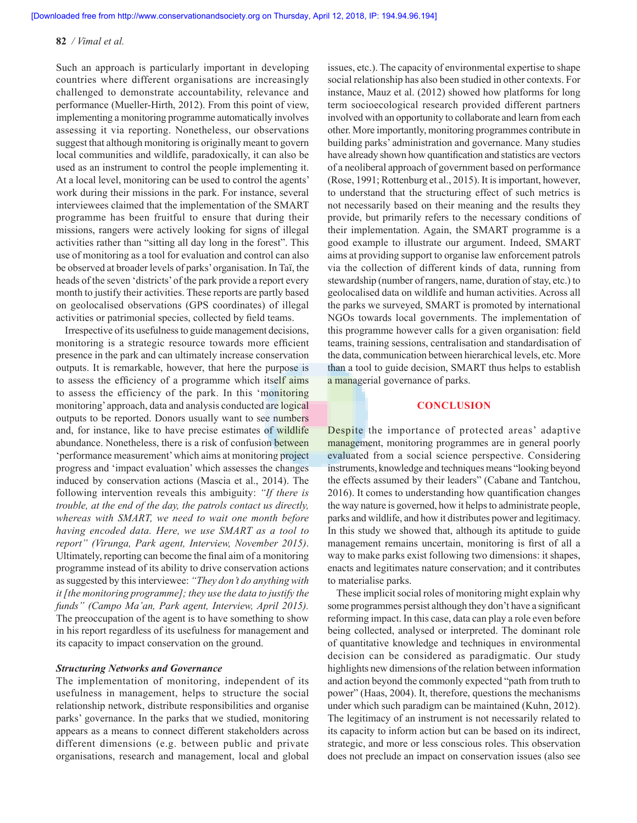Such an approach is particularly important in developing countries where different organisations are increasingly challenged to demonstrate accountability, relevance and performance (Mueller-Hirth, 2012). From this point of view, implementing a monitoring programme automatically involves assessing it via reporting. Nonetheless, our observations suggest that although monitoring is originally meant to govern local communities and wildlife, paradoxically, it can also be used as an instrument to control the people implementing it. At a local level, monitoring can be used to control the agents' work during their missions in the park. For instance, several interviewees claimed that the implementation of the SMART programme has been fruitful to ensure that during their missions, rangers were actively looking for signs of illegal activities rather than "sitting all day long in the forest". This use of monitoring as a tool for evaluation and control can also be observed at broader levels of parks' organisation. In Taï, the heads of the seven 'districts' of the park provide a report every month to justify their activities. These reports are partly based on geolocalised observations (GPS coordinates) of illegal activities or patrimonial species, collected by field teams.

Irrespective of its usefulness to guide management decisions, monitoring is a strategic resource towards more efficient presence in the park and can ultimately increase conservation outputs. It is remarkable, however, that here the purpose is to assess the efficiency of a programme which itself aims to assess the efficiency of the park. In this 'monitoring monitoring' approach, data and analysis conducted are logical outputs to be reported. Donors usually want to see numbers and, for instance, like to have precise estimates of wildlife abundance. Nonetheless, there is a risk of confusion between 'performance measurement' which aims at monitoring project progress and 'impact evaluation' which assesses the changes induced by conservation actions (Mascia et al., 2014). The following intervention reveals this ambiguity: *"If there is trouble, at the end of the day, the patrols contact us directly, whereas with SMART, we need to wait one month before having encoded data. Here, we use SMART as a tool to report" (Virunga, Park agent, Interview, November 2015)*. Ultimately, reporting can become the final aim of a monitoring programme instead of its ability to drive conservation actions as suggested by this interviewee: *"They don't do anything with it [the monitoring programme]; they use the data to justify the funds" (Campo Ma'an, Park agent, Interview, April 2015).* The preoccupation of the agent is to have something to show in his report regardless of its usefulness for management and its capacity to impact conservation on the ground.

#### *Structuring Networks and Governance*

The implementation of monitoring, independent of its usefulness in management, helps to structure the social relationship network, distribute responsibilities and organise parks' governance. In the parks that we studied, monitoring appears as a means to connect different stakeholders across different dimensions (e.g. between public and private organisations, research and management, local and global issues, etc.). The capacity of environmental expertise to shape social relationship has also been studied in other contexts. For instance, Mauz et al. (2012) showed how platforms for long term socioecological research provided different partners involved with an opportunity to collaborate and learn from each other. More importantly, monitoring programmes contribute in building parks' administration and governance. Many studies have already shown how quantification and statistics are vectors of a neoliberal approach of government based on performance (Rose, 1991; Rottenburg et al., 2015). It is important, however, to understand that the structuring effect of such metrics is not necessarily based on their meaning and the results they provide, but primarily refers to the necessary conditions of their implementation. Again, the SMART programme is a good example to illustrate our argument. Indeed, SMART aims at providing support to organise law enforcement patrols via the collection of different kinds of data, running from stewardship (number of rangers, name, duration of stay, etc.) to geolocalised data on wildlife and human activities. Across all the parks we surveyed, SMART is promoted by international NGOs towards local governments. The implementation of this programme however calls for a given organisation: field teams, training sessions, centralisation and standardisation of the data, communication between hierarchical levels, etc. More than a tool to guide decision, SMART thus helps to establish a managerial governance of parks.

#### **CONCLUSION**

Despite the importance of protected areas' adaptive management, monitoring programmes are in general poorly evaluated from a social science perspective. Considering instruments, knowledge and techniques means "looking beyond the effects assumed by their leaders" (Cabane and Tantchou, 2016). It comes to understanding how quantification changes the way nature is governed, how it helps to administrate people, parks and wildlife, and how it distributes power and legitimacy. In this study we showed that, although its aptitude to guide management remains uncertain, monitoring is first of all a way to make parks exist following two dimensions: it shapes, enacts and legitimates nature conservation; and it contributes to materialise parks.

These implicit social roles of monitoring might explain why some programmes persist although they don't have a significant reforming impact. In this case, data can play a role even before being collected, analysed or interpreted. The dominant role of quantitative knowledge and techniques in environmental decision can be considered as paradigmatic. Our study highlights new dimensions of the relation between information and action beyond the commonly expected "path from truth to power" (Haas, 2004). It, therefore, questions the mechanisms under which such paradigm can be maintained (Kuhn, 2012). The legitimacy of an instrument is not necessarily related to its capacity to inform action but can be based on its indirect, strategic, and more or less conscious roles. This observation does not preclude an impact on conservation issues (also see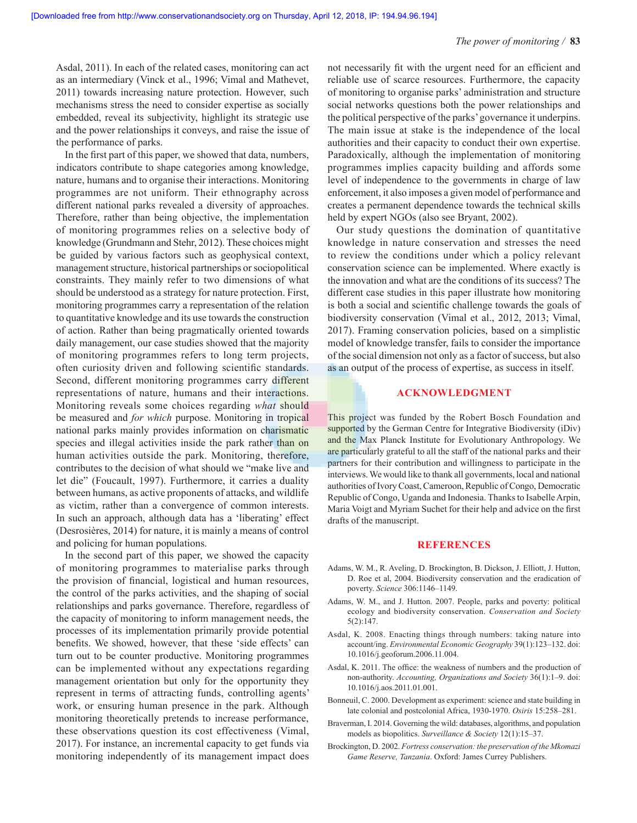Asdal, 2011). In each of the related cases, monitoring can act as an intermediary (Vinck et al., 1996; Vimal and Mathevet, 2011) towards increasing nature protection. However, such mechanisms stress the need to consider expertise as socially embedded, reveal its subjectivity, highlight its strategic use and the power relationships it conveys, and raise the issue of the performance of parks.

In the first part of this paper, we showed that data, numbers, indicators contribute to shape categories among knowledge, nature, humans and to organise their interactions. Monitoring programmes are not uniform. Their ethnography across different national parks revealed a diversity of approaches. Therefore, rather than being objective, the implementation of monitoring programmes relies on a selective body of knowledge (Grundmann and Stehr, 2012). These choices might be guided by various factors such as geophysical context, management structure, historical partnerships or sociopolitical constraints. They mainly refer to two dimensions of what should be understood as a strategy for nature protection. First, monitoring programmes carry a representation of the relation to quantitative knowledge and its use towards the construction of action. Rather than being pragmatically oriented towards daily management, our case studies showed that the majority of monitoring programmes refers to long term projects, often curiosity driven and following scientific standards. Second, different monitoring programmes carry different representations of nature, humans and their interactions. Monitoring reveals some choices regarding *what* should be measured and *for which* purpose. Monitoring in tropical national parks mainly provides information on charismatic species and illegal activities inside the park rather than on human activities outside the park. Monitoring, therefore, contributes to the decision of what should we "make live and let die" (Foucault, 1997). Furthermore, it carries a duality between humans, as active proponents of attacks, and wildlife as victim, rather than a convergence of common interests. In such an approach, although data has a 'liberating' effect (Desrosières, 2014) for nature, it is mainly a means of control and policing for human populations.

In the second part of this paper, we showed the capacity of monitoring programmes to materialise parks through the provision of financial, logistical and human resources, the control of the parks activities, and the shaping of social relationships and parks governance. Therefore, regardless of the capacity of monitoring to inform management needs, the processes of its implementation primarily provide potential benefits. We showed, however, that these 'side effects' can turn out to be counter productive. Monitoring programmes can be implemented without any expectations regarding management orientation but only for the opportunity they represent in terms of attracting funds, controlling agents' work, or ensuring human presence in the park. Although monitoring theoretically pretends to increase performance, these observations question its cost effectiveness (Vimal, 2017). For instance, an incremental capacity to get funds via monitoring independently of its management impact does not necessarily fit with the urgent need for an efficient and reliable use of scarce resources. Furthermore, the capacity of monitoring to organise parks' administration and structure social networks questions both the power relationships and the political perspective of the parks' governance it underpins. The main issue at stake is the independence of the local authorities and their capacity to conduct their own expertise. Paradoxically, although the implementation of monitoring programmes implies capacity building and affords some level of independence to the governments in charge of law enforcement, it also imposes a given model of performance and creates a permanent dependence towards the technical skills held by expert NGOs (also see Bryant, 2002).

Our study questions the domination of quantitative knowledge in nature conservation and stresses the need to review the conditions under which a policy relevant conservation science can be implemented. Where exactly is the innovation and what are the conditions of its success? The different case studies in this paper illustrate how monitoring is both a social and scientific challenge towards the goals of biodiversity conservation (Vimal et al., 2012, 2013; Vimal, 2017). Framing conservation policies, based on a simplistic model of knowledge transfer, fails to consider the importance of the social dimension not only as a factor of success, but also as an output of the process of expertise, as success in itself.

#### **ACKNOWLEDGMENT**

This project was funded by the Robert Bosch Foundation and supported by the German Centre for Integrative Biodiversity (iDiv) and the Max Planck Institute for Evolutionary Anthropology. We are particularly grateful to all the staff of the national parks and their partners for their contribution and willingness to participate in the interviews. We would like to thank all governments, local and national authorities of Ivory Coast, Cameroon, Republic of Congo, Democratic Republic of Congo, Uganda and Indonesia. Thanks to Isabelle Arpin, Maria Voigt and Myriam Suchet for their help and advice on the first drafts of the manuscript.

#### **REFERENCES**

- Adams, W. M., R. Aveling, D. Brockington, B. Dickson, J. Elliott, J. Hutton, D. Roe et al, 2004. Biodiversity conservation and the eradication of poverty. *Science* 306:1146–1149.
- Adams, W. M., and J. Hutton. 2007. People, parks and poverty: political ecology and biodiversity conservation. *Conservation and Society* 5(2):147.
- Asdal, K. 2008. Enacting things through numbers: taking nature into account/ing. *Environmental Economic Geography* 39(1):123–132. doi: 10.1016/j.geoforum.2006.11.004.
- Asdal, K. 2011. The office: the weakness of numbers and the production of non-authority. *Accounting, Organizations and Society* 36(1):1–9. doi: 10.1016/j.aos.2011.01.001.
- Bonneuil, C. 2000. Development as experiment: science and state building in late colonial and postcolonial Africa, 1930-1970. *Osiris* 15:258–281.
- Braverman, I. 2014. Governing the wild: databases, algorithms, and population models as biopolitics. *Surveillance & Society* 12(1):15–37.
- Brockington, D. 2002. *Fortress conservation: the preservation of the Mkomazi Game Reserve, Tanzania*. Oxford: James Currey Publishers.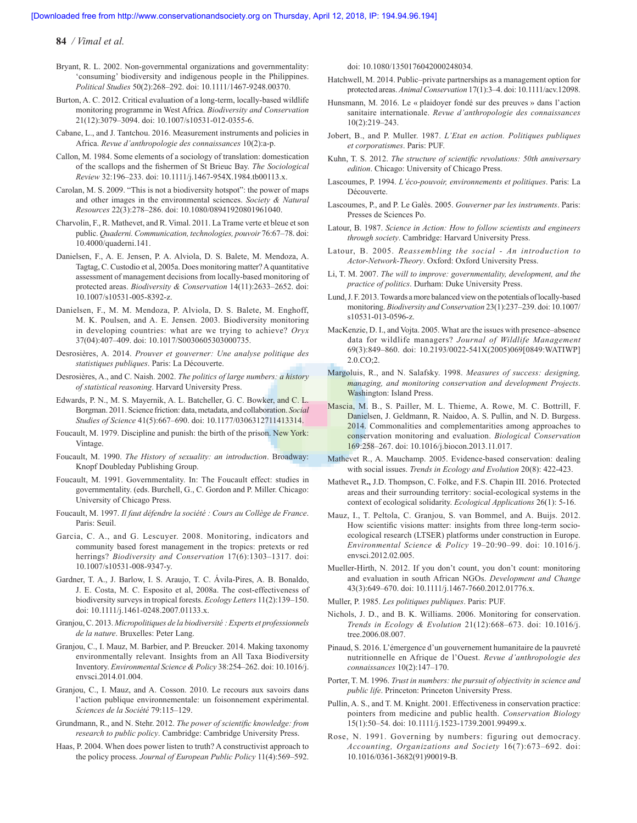- Bryant, R. L. 2002. Non-governmental organizations and governmentality: 'consuming' biodiversity and indigenous people in the Philippines. *Political Studies* 50(2):268–292. doi: 10.1111/1467-9248.00370.
- Burton, A. C. 2012. Critical evaluation of a long-term, locally-based wildlife monitoring programme in West Africa. *Biodiversity and Conservation*  21(12):3079–3094. doi: 10.1007/s10531-012-0355-6.
- Cabane, L., and J. Tantchou. 2016. Measurement instruments and policies in Africa. *Revue d'anthropologie des connaissances* 10(2):a-p.
- Callon, M. 1984. Some elements of a sociology of translation: domestication of the scallops and the fishermen of St Brieuc Bay. *The Sociological Review* 32:196–233. doi: 10.1111/j.1467-954X.1984.tb00113.x.
- Carolan, M. S. 2009. "This is not a biodiversity hotspot": the power of maps and other images in the environmental sciences. *Society & Natural Resources* 22(3):278–286. doi: 10.1080/08941920801961040.
- Charvolin, F., R. Mathevet, and R. Vimal. 2011. La Trame verte et bleue et son public. *Quaderni. Communication, technologies, pouvoir* 76:67–78. doi: 10.4000/quaderni.141.
- Danielsen, F., A. E. Jensen, P. A. Alviola, D. S. Balete, M. Mendoza, A. Tagtag, C. Custodio et al, 2005a. Does monitoring matter? A quantitative assessment of management decisions from locally-based monitoring of protected areas. *Biodiversity & Conservation* 14(11):2633–2652. doi: 10.1007/s10531-005-8392-z.
- Danielsen, F., M. M. Mendoza, P. Alviola, D. S. Balete, M. Enghoff, M. K. Poulsen, and A. E. Jensen. 2003. Biodiversity monitoring in developing countries: what are we trying to achieve? *Oryx* 37(04):407–409. doi: 10.1017/S0030605303000735.
- Desrosières, A. 2014. *Prouver et gouverner: Une analyse politique des statistiques publiques*. Paris: La Découverte.
- Desrosières, A., and C. Naish. 2002. *The politics of large numbers: a history of statistical reasoning*. Harvard University Press.
- Edwards, P. N., M. S. Mayernik, A. L. Batcheller, G. C. Bowker, and C. L. Borgman. 2011. Science friction: data, metadata, and collaboration. *Social Studies of Science* 41(5):667–690. doi: 10.1177/0306312711413314.
- Foucault, M. 1979. Discipline and punish: the birth of the prison. New York: Vintage.
- Foucault, M. 1990. *The History of sexuality: an introduction*. Broadway: Knopf Doubleday Publishing Group.
- Foucault, M. 1991. Governmentality. In: The Foucault effect: studies in governmentality. (eds. Burchell, G., C. Gordon and P. Miller. Chicago: University of Chicago Press.
- Foucault, M. 1997. *Il faut défendre la société : Cours au Collège de France*. Paris: Seuil.
- Garcia, C. A., and G. Lescuyer. 2008. Monitoring, indicators and community based forest management in the tropics: pretexts or red herrings? *Biodiversity and Conservation* 17(6):1303–1317. doi: 10.1007/s10531-008-9347-y.
- Gardner, T. A., J. Barlow, I. S. Araujo, T. C. Ávila-Pires, A. B. Bonaldo, J. E. Costa, M. C. Esposito et al, 2008a. The cost-effectiveness of biodiversity surveys in tropical forests. *Ecology Letters* 11(2):139–150. doi: 10.1111/j.1461-0248.2007.01133.x.
- Granjou, C. 2013. *Micropolitiques de la biodiversité : Experts et professionnels de la nature*. Bruxelles: Peter Lang.
- Granjou, C., I. Mauz, M. Barbier, and P. Breucker. 2014. Making taxonomy environmentally relevant. Insights from an All Taxa Biodiversity Inventory. *Environmental Science & Policy* 38:254–262. doi: 10.1016/j. envsci.2014.01.004.
- Granjou, C., I. Mauz, and A. Cosson. 2010. Le recours aux savoirs dans l'action publique environnementale: un foisonnement expérimental. *Sciences de la Société* 79:115–129.
- Grundmann, R., and N. Stehr. 2012. *The power of scientific knowledge: from research to public policy*. Cambridge: Cambridge University Press.
- Haas, P. 2004. When does power listen to truth? A constructivist approach to the policy process. *Journal of European Public Policy* 11(4):569–592.

doi: 10.1080/1350176042000248034.

- Hatchwell, M. 2014. Public–private partnerships as a management option for protected areas. *Animal Conservation* 17(1):3–4. doi: 10.1111/acv.12098.
- Hunsmann, M. 2016. Le « plaidoyer fondé sur des preuves » dans l'action sanitaire internationale. *Revue d'anthropologie des connaissances* 10(2):219–243.
- Jobert, B., and P. Muller. 1987. *L'Etat en action. Politiques publiques et corporatismes*. Paris: PUF.
- Kuhn, T. S. 2012. *The structure of scientific revolutions: 50th anniversary edition*. Chicago: University of Chicago Press.
- Lascoumes, P. 1994. *L'éco-pouvoir, environnements et politiques*. Paris: La Découverte.
- Lascoumes, P., and P. Le Galès. 2005. *Gouverner par les instruments*. Paris: Presses de Sciences Po.
- Latour, B. 1987. *Science in Action: How to follow scientists and engineers through society*. Cambridge: Harvard University Press.
- Latour, B. 2005. *Reassembling the social An introduction to Actor-Network-Theory*. Oxford: Oxford University Press.
- Li, T. M. 2007. *The will to improve: governmentality, development, and the practice of politics*. Durham: Duke University Press.
- Lund, J. F. 2013. Towards a more balanced view on the potentials of locally-based monitoring. *Biodiversity and Conservation* 23(1):237–239. doi: 10.1007/ s10531-013-0596-z.
- MacKenzie, D. I., and Vojta. 2005. What are the issues with presence–absence data for wildlife managers? *Journal of Wildlife Management*  69(3):849–860. doi: 10.2193/0022-541X(2005)069[0849:WATIWP] 2.0.CO;2.
- Margoluis, R., and N. Salafsky. 1998. *Measures of success: designing, managing, and monitoring conservation and development Projects*. Washington: Island Press.
- Mascia, M. B., S. Pailler, M. L. Thieme, A. Rowe, M. C. Bottrill, F. Danielsen, J. Geldmann, R. Naidoo, A. S. Pullin, and N. D. Burgess. 2014. Commonalities and complementarities among approaches to conservation monitoring and evaluation. *Biological Conservation* 169:258–267. doi: 10.1016/j.biocon.2013.11.017.
- Mathevet R., A. Mauchamp. 2005. Evidence-based conservation: dealing with social issues. *Trends in Ecology and Evolution* 20(8): 422-423.
- Mathevet R**.,** J.D. Thompson, C. Folke, and F.S. Chapin III. 2016. Protected areas and their surrounding territory: social-ecological systems in the context of ecological solidarity. *Ecological Applications* 26(1): 5-16.
- Mauz, I., T. Peltola, C. Granjou, S. van Bommel, and A. Buijs. 2012. How scientific visions matter: insights from three long-term socioecological research (LTSER) platforms under construction in Europe. *Environmental Science & Policy* 19–20:90–99. doi: 10.1016/j. envsci.2012.02.005.
- Mueller-Hirth, N. 2012. If you don't count, you don't count: monitoring and evaluation in south African NGOs. *Development and Change*  43(3):649–670. doi: 10.1111/j.1467-7660.2012.01776.x.
- Muller, P. 1985. *Les politiques publiques*. Paris: PUF.
- Nichols, J. D., and B. K. Williams. 2006. Monitoring for conservation. *Trends in Ecology & Evolution* 21(12):668–673. doi: 10.1016/j. tree.2006.08.007.
- Pinaud, S. 2016. L'émergence d'un gouvernement humanitaire de la pauvreté nutritionnelle en Afrique de l'Ouest. *Revue d'anthropologie des connaissances* 10(2):147–170.
- Porter, T. M. 1996. *Trust in numbers: the pursuit of objectivity in science and public life*. Princeton: Princeton University Press.
- Pullin, A. S., and T. M. Knight. 2001. Effectiveness in conservation practice: pointers from medicine and public health. *Conservation Biology* 15(1):50–54. doi: 10.1111/j.1523-1739.2001.99499.x.
- Rose, N. 1991. Governing by numbers: figuring out democracy. *Accounting, Organizations and Society* 16(7):673–692. doi: 10.1016/0361-3682(91)90019-B.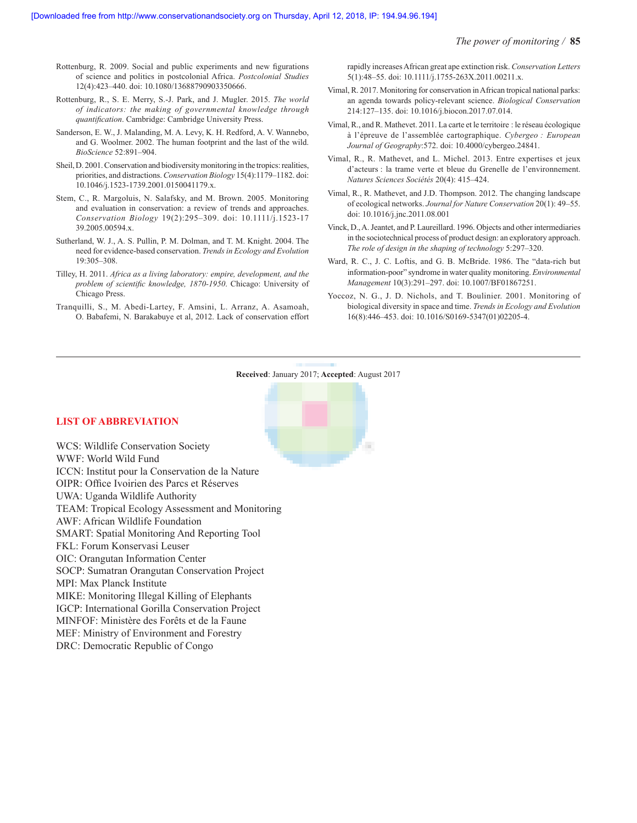#### *The power of monitoring /* **85**

- Rottenburg, R. 2009. Social and public experiments and new figurations of science and politics in postcolonial Africa. *Postcolonial Studies*  12(4):423–440. doi: 10.1080/13688790903350666.
- Rottenburg, R., S. E. Merry, S.-J. Park, and J. Mugler. 2015. *The world of indicators: the making of governmental knowledge through quantification*. Cambridge: Cambridge University Press.
- Sanderson, E. W., J. Malanding, M. A. Levy, K. H. Redford, A. V. Wannebo, and G. Woolmer. 2002. The human footprint and the last of the wild. *BioScience* 52:891–904.
- Sheil, D. 2001. Conservation and biodiversity monitoring in the tropics: realities, priorities, and distractions. *Conservation Biology* 15(4):1179–1182. doi: 10.1046/j.1523-1739.2001.0150041179.x.
- Stem, C., R. Margoluis, N. Salafsky, and M. Brown. 2005. Monitoring and evaluation in conservation: a review of trends and approaches. *Conservation Biology* 19(2):295–309. doi: 10.1111/j.1523-17 39.2005.00594.x.
- Sutherland, W. J., A. S. Pullin, P. M. Dolman, and T. M. Knight. 2004. The need for evidence-based conservation. *Trends in Ecology and Evolution*  19:305–308.
- Tilley, H. 2011. *Africa as a living laboratory: empire, development, and the problem of scientific knowledge, 1870-1950*. Chicago: University of Chicago Press.
- Tranquilli, S., M. Abedi-Lartey, F. Amsini, L. Arranz, A. Asamoah, O. Babafemi, N. Barakabuye et al, 2012. Lack of conservation effort

rapidly increases African great ape extinction risk. *Conservation Letters*  5(1):48–55. doi: 10.1111/j.1755-263X.2011.00211.x.

- Vimal, R. 2017. Monitoring for conservation in African tropical national parks: an agenda towards policy-relevant science. *Biological Conservation* 214:127–135. doi: 10.1016/j.biocon.2017.07.014.
- Vimal, R., and R. Mathevet. 2011. La carte et le territoire : le réseau écologique à l'épreuve de l'assemblée cartographique. *Cybergeo : European Journal of Geography*:572. doi: 10.4000/cybergeo.24841.
- Vimal, R., R. Mathevet, and L. Michel. 2013. Entre expertises et jeux d'acteurs : la trame verte et bleue du Grenelle de l'environnement. *Natures Sciences Sociétés* 20(4): 415–424.
- Vimal, R., R. Mathevet, and J.D. Thompson. 2012. The changing landscape of ecological networks. *Journal for Nature Conservation* 20(1): 49–55. doi: 10.1016/j.jnc.2011.08.001
- Vinck, D., A. Jeantet, and P. Laureillard. 1996. Objects and other intermediaries in the sociotechnical process of product design: an exploratory approach. *The role of design in the shaping of technology* 5:297–320.
- Ward, R. C., J. C. Loftis, and G. B. McBride. 1986. The "data-rich but information-poor" syndrome in water quality monitoring. *Environmental Management* 10(3):291–297. doi: 10.1007/BF01867251.
- Yoccoz, N. G., J. D. Nichols, and T. Boulinier. 2001. Monitoring of biological diversity in space and time. *Trends in Ecology and Evolution*  16(8):446–453. doi: 10.1016/S0169-5347(01)02205-4.



## **LIST OF ABBREVIATION**

WCS: Wildlife Conservation Society WWF: World Wild Fund ICCN: Institut pour la Conservation de la Nature OIPR: Office Ivoirien des Parcs et Réserves UWA: Uganda Wildlife Authority TEAM: Tropical Ecology Assessment and Monitoring AWF: African Wildlife Foundation SMART: Spatial Monitoring And Reporting Tool FKL: Forum Konservasi Leuser OIC: Orangutan Information Center SOCP: Sumatran Orangutan Conservation Project MPI: Max Planck Institute MIKE: Monitoring Illegal Killing of Elephants IGCP: International Gorilla Conservation Project MINFOF: Ministère des Forêts et de la Faune MEF: Ministry of Environment and Forestry DRC: Democratic Republic of Congo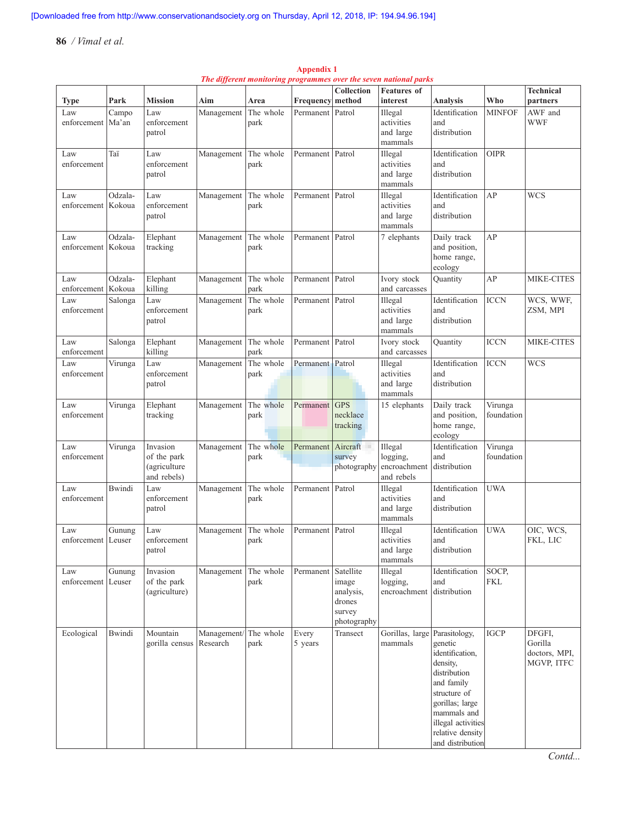|                             |                   |                                                        |                         |                   |                  |                                                                    | The different monitoring programmes over the seven national parks |                                                                                                                                                                                                       |                       |                                                  |
|-----------------------------|-------------------|--------------------------------------------------------|-------------------------|-------------------|------------------|--------------------------------------------------------------------|-------------------------------------------------------------------|-------------------------------------------------------------------------------------------------------------------------------------------------------------------------------------------------------|-----------------------|--------------------------------------------------|
|                             |                   |                                                        |                         |                   |                  | Collection                                                         | <b>Features of</b>                                                |                                                                                                                                                                                                       |                       | <b>Technical</b>                                 |
| <b>Type</b>                 | Park              | <b>Mission</b>                                         | Aim                     | Area              | Frequency        | method                                                             | interest                                                          | <b>Analysis</b>                                                                                                                                                                                       | Who                   | partners                                         |
| Law<br>enforcement          | Campo<br>Ma'an    | Law<br>enforcement<br>patrol                           | Management              | The whole<br>park | Permanent        | Patrol                                                             | Illegal<br>activities<br>and large<br>mammals                     | Identification<br>and<br>distribution                                                                                                                                                                 | <b>MINFOF</b>         | AWF and<br><b>WWF</b>                            |
| Law<br>enforcement          | Taï               | Law<br>enforcement<br>patrol                           | Management              | The whole<br>park | Permanent        | Patrol                                                             | Illegal<br>activities<br>and large<br>mammals                     | Identification<br>and<br>distribution                                                                                                                                                                 | <b>OIPR</b>           |                                                  |
| Law<br>enforcement          | Odzala-<br>Kokoua | Law<br>enforcement<br>patrol                           | Management              | The whole<br>park | Permanent        | Patrol                                                             | Illegal<br>activities<br>and large<br>mammals                     | Identification<br>and<br>distribution                                                                                                                                                                 | AP                    | <b>WCS</b>                                       |
| Law<br>enforcement          | Odzala-<br>Kokoua | Elephant<br>tracking                                   | Management              | The whole<br>park | Permanent        | Patrol                                                             | 7 elephants                                                       | Daily track<br>and position,<br>home range,<br>ecology                                                                                                                                                | AP                    |                                                  |
| Law<br>enforcement          | Odzala-<br>Kokoua | Elephant<br>killing                                    | Management              | The whole<br>park | Permanent        | Patrol                                                             | Ivory stock<br>and carcasses                                      | Quantity                                                                                                                                                                                              | AP                    | <b>MIKE-CITES</b>                                |
| Law<br>enforcement          | Salonga           | Law<br>enforcement<br>patrol                           | Management              | The whole<br>park | Permanent        | Patrol                                                             | Illegal<br>activities<br>and large<br>mammals                     | Identification<br>and<br>distribution                                                                                                                                                                 | <b>ICCN</b>           | WCS, WWF,<br>ZSM, MPI                            |
| Law<br>enforcement          | Salonga           | Elephant<br>killing                                    | Management              | The whole<br>park | Permanent        | Patrol                                                             | Ivory stock<br>and carcasses                                      | Quantity                                                                                                                                                                                              | <b>ICCN</b>           | <b>MIKE-CITES</b>                                |
| Law<br>enforcement          | Virunga           | Law<br>enforcement<br>patrol                           | Management              | The whole<br>park | Permanent Patrol |                                                                    | Illegal<br>activities<br>and large<br>mammals                     | Identification<br>and<br>distribution                                                                                                                                                                 | <b>ICCN</b>           | <b>WCS</b>                                       |
| Law<br>enforcement          | Virunga           | Elephant<br>tracking                                   | Management              | The whole<br>park | Permanent        | <b>GPS</b><br>necklace<br>tracking                                 | 15 elephants                                                      | Daily track<br>and position,<br>home range,<br>ecology                                                                                                                                                | Virunga<br>foundation |                                                  |
| Law<br>enforcement          | Virunga           | Invasion<br>of the park<br>(agriculture<br>and rebels) | Management              | The whole<br>park | Permanent        | Aircraft<br>survey<br>photography                                  | Illegal<br>logging,<br>encroachment<br>and rebels                 | Identification<br>and<br>distribution                                                                                                                                                                 | Virunga<br>foundation |                                                  |
| Law<br>enforcement          | <b>Bwindi</b>     | Law<br>enforcement<br>patrol                           | Management              | The whole<br>park | Permanent        | Patrol                                                             | Illegal<br>activities<br>and large<br>mammals                     | Identification<br>and<br>distribution                                                                                                                                                                 | <b>UWA</b>            |                                                  |
| Law<br>enforcement   Leuser | Gunung            | Law<br>enforcement<br>patrol                           | Management              | The whole<br>park | Permanent        | Patrol                                                             | Illegal<br>activities<br>and large<br>mammals                     | Identification<br>and<br>distribution                                                                                                                                                                 | <b>UWA</b>            | OIC, WCS,<br>FKL, LIC                            |
| Law<br>enforcement   Leuser | Gunung            | Invasion<br>of the park<br>(agriculture)               | Management              | The whole<br>park | Permanent        | Satellite<br>image<br>analysis,<br>drones<br>survey<br>photography | Illegal<br>logging,<br>encroachment                               | Identification<br>and<br>distribution                                                                                                                                                                 | SOCP,<br><b>FKL</b>   |                                                  |
| Ecological                  | Bwindi            | Mountain<br>gorilla census                             | Management/<br>Research | The whole<br>park | Every<br>5 years | Transect                                                           | Gorillas, large<br>mammals                                        | Parasitology,<br>genetic<br>identification,<br>density,<br>distribution<br>and family<br>structure of<br>gorillas; large<br>mammals and<br>illegal activities<br>relative density<br>and distribution | <b>IGCP</b>           | DFGFI,<br>Gorilla<br>doctors, MPI,<br>MGVP, ITFC |

**Appendix 1** *The different monitoring programmes over the seven national parks*

*Contd...*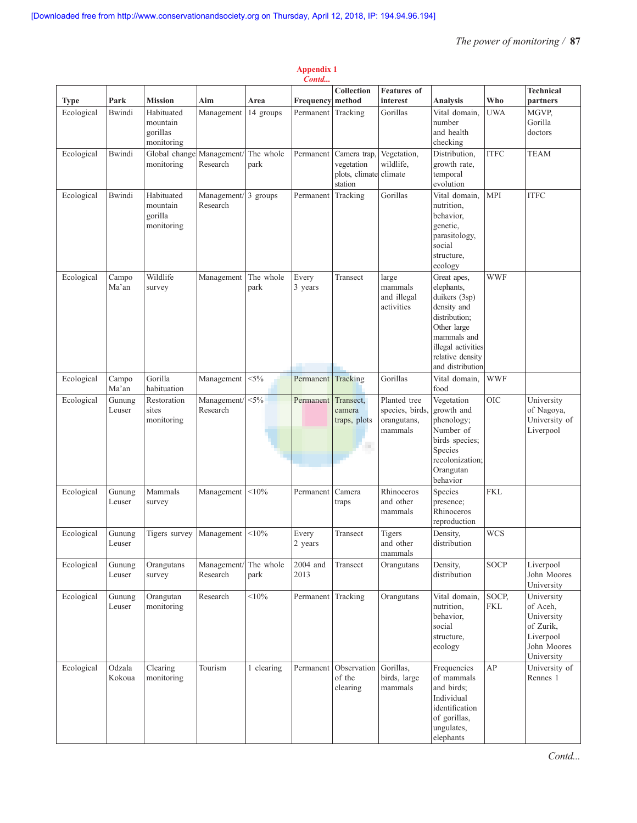| Contd       |                  |                                                  |                                              |                   |                    |                                                                 |                                                           |                                                                                                                                                                        |                     |                                                                                             |
|-------------|------------------|--------------------------------------------------|----------------------------------------------|-------------------|--------------------|-----------------------------------------------------------------|-----------------------------------------------------------|------------------------------------------------------------------------------------------------------------------------------------------------------------------------|---------------------|---------------------------------------------------------------------------------------------|
| <b>Type</b> | Park             | <b>Mission</b>                                   | Aim                                          |                   | Frequency          | Collection<br>method                                            | <b>Features</b> of<br>interest                            | <b>Analysis</b>                                                                                                                                                        | Who                 | <b>Technical</b><br>partners                                                                |
| Ecological  | <b>Bwindi</b>    | Habituated<br>mountain<br>gorillas<br>monitoring | Management                                   | Area<br>14 groups | Permanent Tracking |                                                                 | Gorillas                                                  | Vital domain,<br>number<br>and health<br>checking                                                                                                                      | <b>UWA</b>          | MGVP.<br>Gorilla<br>doctors                                                                 |
| Ecological  | <b>Bwindi</b>    | Global change<br>monitoring                      | Management/<br>Research                      | The whole<br>park | Permanent          | Camera trap,<br>vegetation<br>plots, climate climate<br>station | Vegetation,<br>wildlife.                                  | Distribution,<br>growth rate,<br>temporal<br>evolution                                                                                                                 | <b>ITFC</b>         | <b>TEAM</b>                                                                                 |
| Ecological  | <b>Bwindi</b>    | Habituated<br>mountain<br>gorilla<br>monitoring  | Management/ $\frac{3}{3}$ groups<br>Research |                   | Permanent          | Tracking                                                        | Gorillas                                                  | Vital domain.<br>nutrition.<br>behavior,<br>genetic,<br>parasitology,<br>social<br>structure,<br>ecology                                                               | <b>MPI</b>          | <b>ITFC</b>                                                                                 |
| Ecological  | Campo<br>Ma'an   | Wildlife<br>survey                               | Management                                   | The whole<br>park | Every<br>3 years   | Transect                                                        | large<br>mammals<br>and illegal<br>activities             | Great apes,<br>elephants.<br>duikers (3sp)<br>density and<br>distribution;<br>Other large<br>mammals and<br>illegal activities<br>relative density<br>and distribution | <b>WWF</b>          |                                                                                             |
| Ecological  | Campo<br>Ma'an   | Gorilla<br>habituation                           | Management                                   | $< 5\%$           | Permanent          | Tracking                                                        | Gorillas                                                  | Vital domain,<br>food                                                                                                                                                  | <b>WWF</b>          |                                                                                             |
| Ecological  | Gunung<br>Leuser | Restoration<br>sites<br>monitoring               | Management/<br>Research                      | $< 5\%$           | Permanent          | Transect,<br>camera<br>traps, plots<br>m                        | Planted tree<br>species, birds,<br>orangutans,<br>mammals | Vegetation<br>growth and<br>phenology;<br>Number of<br>birds species;<br>Species<br>recolonization;<br>Orangutan<br>behavior                                           | <b>OIC</b>          | University<br>of Nagoya,<br>University of<br>Liverpool                                      |
| Ecological  | Gunung<br>Leuser | Mammals<br>survey                                | Management                                   | < 10%             | Permanent          | Camera<br>traps                                                 | Rhinoceros<br>and other<br>mammals                        | Species<br>presence;<br>Rhinoceros<br>reproduction                                                                                                                     | <b>FKL</b>          |                                                                                             |
| Ecological  | Gunung<br>Leuser | Tigers survey                                    | Management                                   | < 10%             | Every<br>2 years   | Transect                                                        | Tigers<br>and other<br>mammals                            | Density,<br>distribution                                                                                                                                               | <b>WCS</b>          |                                                                                             |
| Ecological  | Gunung<br>Leuser | Orangutans<br>survey                             | Management/<br>Research                      | The whole<br>park | 2004 and<br>2013   | Transect                                                        | Orangutans                                                | Density,<br>distribution                                                                                                                                               | <b>SOCP</b>         | Liverpool<br>John Moores<br>University                                                      |
| Ecological  | Gunung<br>Leuser | Orangutan<br>monitoring                          | Research                                     | $< 10\%$          | Permanent Tracking |                                                                 | Orangutans                                                | Vital domain,<br>nutrition.<br>behavior,<br>social<br>structure,<br>ecology                                                                                            | SOCP,<br><b>FKL</b> | University<br>of Aceh.<br>University<br>of Zurik,<br>Liverpool<br>John Moores<br>University |
| Ecological  | Odzala<br>Kokoua | Clearing<br>monitoring                           | Tourism                                      | 1 clearing        | Permanent          | Observation<br>of the<br>clearing                               | Gorillas,<br>birds, large<br>mammals                      | Frequencies<br>of mammals<br>and birds;<br>Individual<br>identification<br>of gorillas,<br>ungulates,<br>elephants                                                     | AP                  | University of<br>Rennes 1                                                                   |

# **Appendix 1**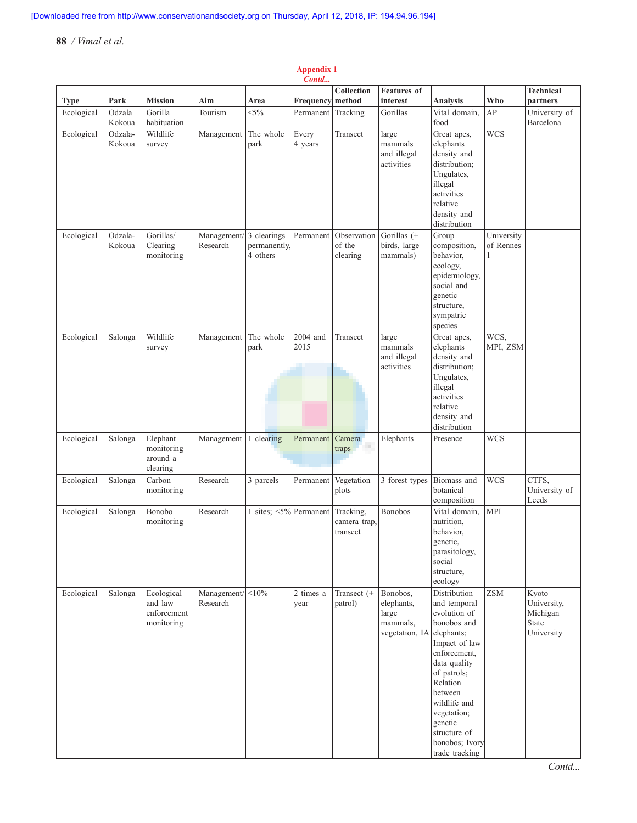#### **Type Park Mission Aim Area Frequency Collection method Features of interest Analysis Who Technical partners** Ecological Odzala Kokoua Gorilla habituation Tourism <5% Permanent Tracking Gorillas Vital domain, food AP University of Barcelona Ecological Odzala-Kokoua Wildlife survey Management The whole park Every 4 years Transect | large mammals and illegal activities Great apes, elephants density and distribution; Ungulates, illegal activities relative density and distribution WCS Ecological Odzala-Kokoua Gorillas/ Clearing monitoring Management/ 3 clearings Research permanently, 4 others Permanent Observation of the clearing Gorillas (+ birds, large mammals) Group composition, behavior, ecology, epidemiology, social and genetic structure, sympatric species University of Rennes 1 Ecological Salonga Wildlife survey Management The whole park 2004 and 2015 Transect | large mammals and illegal activities Great apes, elephants density and distribution; Ungulates, illegal activities relative density and distribution WCS, MPI, ZSM Ecological Salonga Elephant monitoring around a clearing Management 1 clearing Permanent Camera traps Elephants Presence WCS Ecological Salonga Carbon monitoring Research 3 parcels Permanent Vegetation plots 3 forest types Biomass and botanical composition  $WCS$  CTFS, University of Leeds Ecological Salonga Bonobo monitoring Research  $\vert$  1 sites; <5% Permanent Tracking, camera trap, transect Bonobos Vital domain, nutrition, behavior, genetic, parasitology, social structure, ecology MPI Ecological Salonga Ecological and law enforcement monitoring Management/ Research  $\langle 10\%$  2 times a year Transect (+ patrol) Bonobos, elephants, large mammals, vegetation, IA Distribution and temporal evolution of bonobos and elephants; Impact of law enforcement, data quality of patrols; Relation between wildlife and vegetation; genetic structure of bonobos; Ivory trade tracking ZSM | Kyoto University, Michigan State **University**

#### **Appendix 1** *Contd...*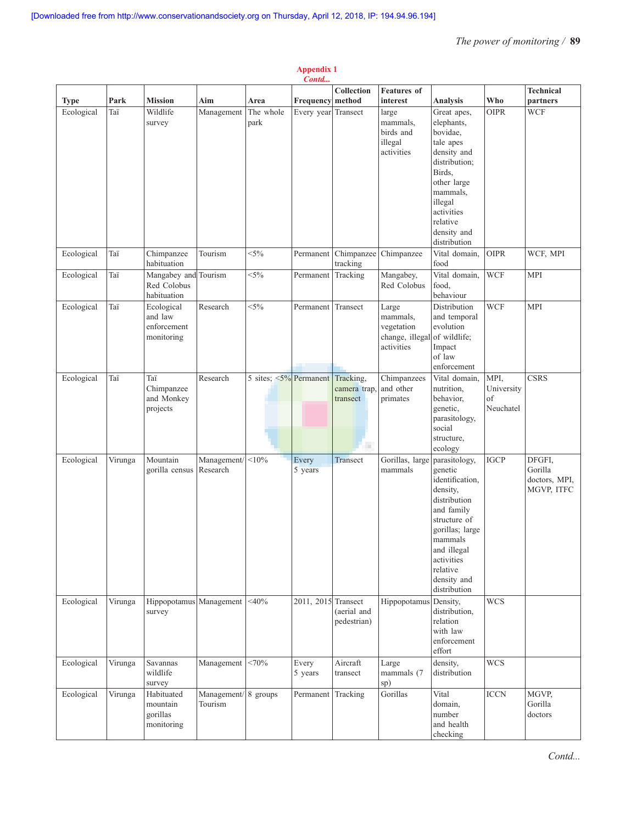|             | Contd   |                                                    |                         |                               |                     |                                            |                                                                  |                                                                                                                                                                                                             |                                       |                                                  |
|-------------|---------|----------------------------------------------------|-------------------------|-------------------------------|---------------------|--------------------------------------------|------------------------------------------------------------------|-------------------------------------------------------------------------------------------------------------------------------------------------------------------------------------------------------------|---------------------------------------|--------------------------------------------------|
| <b>Type</b> | Park    | <b>Mission</b>                                     | Aim                     | Area                          | Frequency           | Collection<br>method                       | <b>Features</b> of<br>interest                                   | Analysis                                                                                                                                                                                                    | Who                                   | <b>Technical</b><br>partners                     |
| Ecological  | Taï     | Wildlife<br>survey                                 | Management              | The whole<br>park             | Every year Transect |                                            | large<br>mammals,<br>birds and<br>illegal<br>activities          | Great apes,<br>elephants,<br>bovidae,<br>tale apes<br>density and<br>distribution;<br>Birds,<br>other large<br>mammals,<br>illegal<br>activities<br>relative<br>density and<br>distribution                 | <b>OIPR</b>                           | <b>WCF</b>                                       |
| Ecological  | Taï     | Chimpanzee<br>habituation                          | Tourism                 | $<$ 5%                        | Permanent           | Chimpanzee<br>tracking                     | Chimpanzee                                                       | Vital domain,<br>food                                                                                                                                                                                       | <b>OIPR</b>                           | WCF, MPI                                         |
| Ecological  | Taï     | Mangabey and Tourism<br>Red Colobus<br>habituation |                         | $<$ 5%                        | Permanent           | Tracking                                   | Mangabey,<br>Red Colobus                                         | Vital domain,<br>food,<br>behaviour                                                                                                                                                                         | <b>WCF</b>                            | <b>MPI</b>                                       |
| Ecological  | Taï     | Ecological<br>and law<br>enforcement<br>monitoring | Research                | $<$ 5%                        | Permanent           | Transect                                   | Large<br>mammals,<br>vegetation<br>change, illegal<br>activities | Distribution<br>and temporal<br>evolution<br>of wildlife;<br>Impact<br>of law<br>enforcement                                                                                                                | <b>WCF</b>                            | <b>MPI</b>                                       |
| Ecological  | Taï     | Taï<br>Chimpanzee<br>and Monkey<br>projects        | Research                | 5 sites; $\leq 5\%$ Permanent |                     | Tracking,<br>camera trap,<br>transect<br>m | Chimpanzees<br>and other<br>primates                             | Vital domain.<br>nutrition,<br>behavior,<br>genetic,<br>parasitology,<br>social<br>structure,<br>ecology                                                                                                    | MPI,<br>University<br>of<br>Neuchatel | <b>CSRS</b>                                      |
| Ecological  | Virunga | Mountain<br>gorilla census                         | Management/<br>Research | $< 10\%$                      | Every<br>5 years    | Transect                                   | Gorillas, large<br>mammals                                       | parasitology,<br>genetic<br>identification,<br>density,<br>distribution<br>and family<br>structure of<br>gorillas; large<br>mammals<br>and illegal<br>activities<br>relative<br>density and<br>distribution | <b>IGCP</b>                           | DFGFI,<br>Gorilla<br>doctors, MPI,<br>MGVP, ITFC |
| Ecological  | Virunga | Hippopotamus Management<br>survey                  |                         | $<$ 40%                       | 2011, 2015 Transect | (aerial and<br>pedestrian)                 | Hippopotamus                                                     | Density,<br>distribution,<br>relation<br>with law<br>enforcement<br>effort                                                                                                                                  | <b>WCS</b>                            |                                                  |
| Ecological  | Virunga | Savannas<br>wildlife<br>survey                     | Management              | <70%                          | Every<br>5 years    | Aircraft<br>transect                       | Large<br>mammals (7<br>sp)                                       | density,<br>distribution                                                                                                                                                                                    | <b>WCS</b>                            |                                                  |
| Ecological  | Virunga | Habituated<br>mountain<br>gorillas<br>monitoring   | Management/<br>Tourism  | 8 groups                      | Permanent           | Tracking                                   | Gorillas                                                         | Vital<br>domain,<br>number<br>and health<br>checking                                                                                                                                                        | <b>ICCN</b>                           | MGVP,<br>Gorilla<br>doctors                      |

# **Appendix 1**